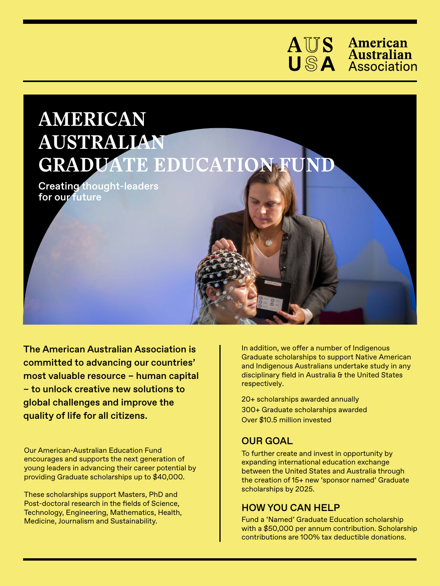## AUS American<br>USA Australian



The American Australian Association is committed to advancing our countries' most valuable resource – human capital – to unlock creative new solutions to global challenges and improve the quality of life for all citizens.

Our American-Australian Education Fund encourages and supports the next generation of young leaders in advancing their career potential by providing Graduate scholarships up to \$40,000.

These scholarships support Masters, PhD and Post-doctoral research in the fields of Science, Technology, Engineering, Mathematics, Health, Medicine, Journalism and Sustainability.

In addition, we offer a number of Indigenous Graduate scholarships to support Native American and Indigenous Australians undertake study in any disciplinary field in Australia & the United States respectively.

20+ scholarships awarded annually 300+ Graduate scholarships awarded Over \$10.5 million invested

## OUR GOAL

To further create and invest in opportunity by expanding international education exchange between the United States and Australia through the creation of 15+ new 'sponsor named' Graduate scholarships by 2025.

## HOW YOU CAN HELP

Fund a 'Named' Graduate Education scholarship with a \$50,000 per annum contribution. Scholarship contributions are 100% tax deductible donations.